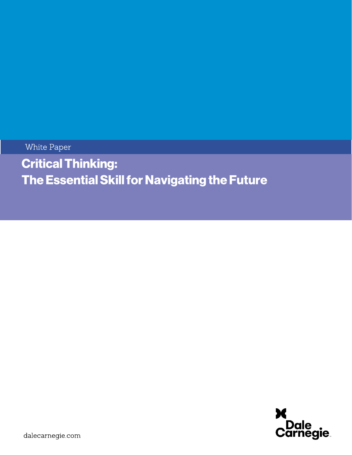White Paper

**Critical Thinking:** The Essential Skill for Navigating the Future

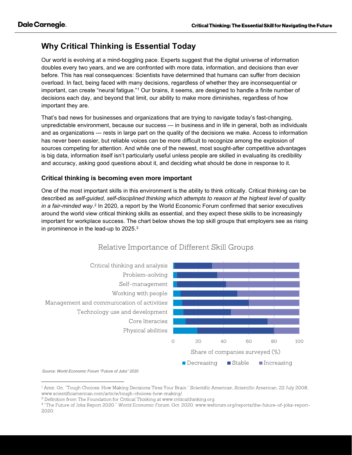# Why Critical Thinking is Essential Today

Our world is evolving at a mind-boggling pace. Experts suggest that the digital universe of information doubles every two years, and we are confronted with more data, information, and decisions than ever before. This has real consequences: Scientists have determined that humans can suffer from decision overload. In fact, being faced with many decisions, regardless of whether they are inconsequential or important, can create "neural fatigue."<sup>1</sup> Our brains, it seems, are designed to handle a finite number of decisions each day, and beyond that limit, our ability to make more diminishes, regardless of how important they are.

That's bad news for businesses and organizations that are trying to navigate today's fast-changing, unpredictable environment, because our success — in business and in life in general, both as individuals and as organizations — rests in large part on the quality of the decisions we make. Access to information has never been easier, but reliable voices can be more difficult to recognize among the explosion of sources competing for attention. And while one of the newest, most sought-after competitive advantages is big data, information itself isn't particularly useful unless people are skilled in evaluating its credibility and accuracy, asking good questions about it, and deciding what should be done in response to it.

## Critical thinking is becoming even more important

One of the most important skills in this environment is the ability to think critically. Critical thinking can be described as self-guided, self-disciplined thinking which attempts to reason at the highest level of quality in a fair-minded way.<sup>2</sup> In 2020, a report by the World Economic Forum confirmed that senior executives around the world view critical thinking skills as essential, and they expect these skills to be increasingly important for workplace success. The chart below shows the top skill groups that employers see as rising in prominence in the lead-up to 2025. $3$ 



## Relative Importance of Different Skill Groups

Source: World Economic Forum "Future of Jobs" 2020

<sup>&</sup>lt;sup>1</sup> Amir, On. "Tough Choices: How Making Decisions Tires Your Brain." Scientific American, Scientific American, 22 July 2008, www.scientificamerican.com/article/tough-choices-how-making/.

<sup>&</sup>lt;sup>2</sup> Definition from The Foundation for Critical Thinking at www.criticalthinking.org.

<sup>&</sup>lt;sup>3</sup> "The Future of Jobs Report 2020." World Economic Forum, Oct. 2020, www.weforum.org/reports/the-future-of-jobs-report-2020.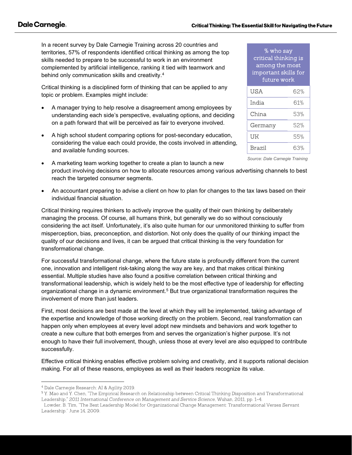In a recent survey by Dale Carnegie Training across 20 countries and territories, 57% of respondents identified critical thinking as among the top skills needed to prepare to be successful to work in an environment complemented by artificial intelligence, ranking it tied with teamwork and behind only communication skills and creativity.<sup>4</sup>

Critical thinking is a disciplined form of thinking that can be applied to any topic or problem. Examples might include:

- A manager trying to help resolve a disagreement among employees by understanding each side's perspective, evaluating options, and deciding on a path forward that will be perceived as fair to everyone involved.
- A high school student comparing options for post-secondary education, considering the value each could provide, the costs involved in attending, and available funding sources.

| $%$ who say<br>critical thinking is<br>among the most<br>important skills for<br>future work |     |
|----------------------------------------------------------------------------------------------|-----|
| USA                                                                                          | 62% |
| India                                                                                        | 61% |
| China                                                                                        | 53% |
| Germany                                                                                      | 52% |
| UK                                                                                           | 55% |
| Brazil                                                                                       | 63% |

Source: Dale Carnegie Training

- A marketing team working together to create a plan to launch a new product involving decisions on how to allocate resources among various advertising channels to best reach the targeted consumer segments.
- An accountant preparing to advise a client on how to plan for changes to the tax laws based on their individual financial situation.

Critical thinking requires thinkers to actively improve the quality of their own thinking by deliberately managing the process. Of course, all humans think, but generally we do so without consciously considering the act itself. Unfortunately, it's also quite human for our unmonitored thinking to suffer from misperception, bias, preconception, and distortion. Not only does the quality of our thinking impact the quality of our decisions and lives, it can be argued that critical thinking is the very foundation for transformational change.

For successful transformational change, where the future state is profoundly different from the current one, innovation and intelligent risk-taking along the way are key, and that makes critical thinking essential. Multiple studies have also found a positive correlation between critical thinking and transformational leadership, which is widely held to be the most effective type of leadership for effecting organizational change in a dynamic environment.<sup>5</sup> But true organizational transformation requires the involvement of more than just leaders.

First, most decisions are best made at the level at which they will be implemented, taking advantage of the expertise and knowledge of those working directly on the problem. Second, real transformation can happen only when employees at every level adopt new mindsets and behaviors and work together to create a new culture that both emerges from and serves the organization's higher purpose. It's not enough to have their full involvement, though, unless those at every level are also equipped to contribute successfully.

Effective critical thinking enables effective problem solving and creativity, and it supports rational decision making. For all of these reasons, employees as well as their leaders recognize its value.

<sup>&</sup>lt;sup>4</sup> Dale Carnegie Research: AI & Agility 2019.

<sup>&</sup>lt;sup>5</sup> Y. Mao and Y. Chen, "The Empirical Research on Relationship between Critical Thinking Disposition and Transformational Leadership," 2011 International Conference on Management and Service Science, Wuhan, 2011, pp. 1-4.

Lowder, B. Tim, "The Best Leadership Model for Organizational Change Management: Transformational Verses Servant Leadership." June 14, 2009.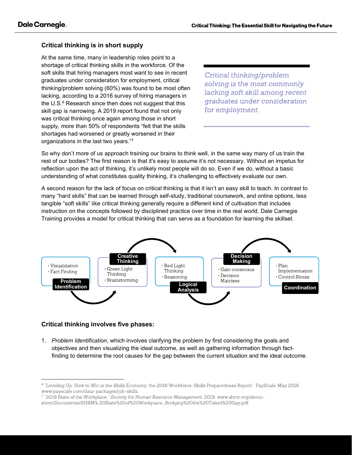## Critical thinking is in short supply

At the same time, many in leadership roles point to a shortage of critical thinking skills in the workforce. Of the soft skills that hiring managers most want to see in recent graduates under consideration for employment, critical thinking/problem solving (60%) was found to be most often lacking, according to a 2016 survey of hiring managers in the U.S.<sup>6</sup> Research since then does not suggest that this skill gap is narrowing. A 2019 report found that not only was critical thinking once again among those in short supply, more than 50% of respondents "felt that the skills shortages had worsened or greatly worsened in their organizations in the last two years."<sup>7</sup>

Critical thinking/problem solving is the most commonly lacking soft skill among recent graduates under consideration for employment.

So why don't more of us approach training our brains to think well, in the same way many of us train the rest of our bodies? The first reason is that it's easy to assume it's not necessary. Without an impetus for reflection upon the act of thinking, it's unlikely most people will do so. Even if we do, without a basic understanding of what constitutes quality thinking, it's challenging to effectively evaluate our own.

A second reason for the lack of focus on critical thinking is that it isn't an easy skill to teach. In contrast to many "hard skills" that can be learned through self-study, traditional coursework, and online options, less tangible "soft skills" like critical thinking generally require a different kind of cultivation that includes instruction on the concepts followed by disciplined practice over time in the real world. Dale Carnegie Training provides a model for critical thinking that can serve as a foundation for learning the skillset.



## Critical thinking involves five phases:

1. Problem Identification, which involves clarifying the problem by first considering the goals and objectives and then visualizing the ideal outcome, as well as gathering information through factfinding to determine the root causes for the gap between the current situation and the ideal outcome.

<sup>&</sup>lt;sup>6</sup> "Leveling Up: How to Win in the Skills Economy: the 2016 Workforce-Skills Preparedness Report." PayScale, May 2016, www.payscale.com/data-packages/job-skills.

<sup>7 &</sup>quot;2019 State of the Workplace." Society for Human Resource Management, 2019, www.shrm.org/aboutshrm/Documents/SHRM%20State%20of%20Workplace\_Bridging%20the%20Talent%20Gap.pdf.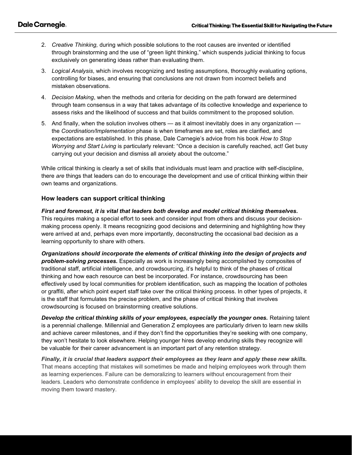- 2. Creative Thinking, during which possible solutions to the root causes are invented or identified through brainstorming and the use of "green light thinking," which suspends judicial thinking to focus exclusively on generating ideas rather than evaluating them.
- 3. Logical Analysis, which involves recognizing and testing assumptions, thoroughly evaluating options, controlling for biases, and ensuring that conclusions are not drawn from incorrect beliefs and mistaken observations.
- 4. Decision Making, when the methods and criteria for deciding on the path forward are determined through team consensus in a way that takes advantage of its collective knowledge and experience to assess risks and the likelihood of success and that builds commitment to the proposed solution.
- 5. And finally, when the solution involves others as it almost inevitably does in any organization the Coordination/Implementation phase is when timeframes are set, roles are clarified, and expectations are established. In this phase, Dale Carnegie's advice from his book How to Stop Worrying and Start Living is particularly relevant: "Once a decision is carefully reached, act! Get busy carrying out your decision and dismiss all anxiety about the outcome."

While critical thinking is clearly a set of skills that individuals must learn and practice with self-discipline, there are things that leaders can do to encourage the development and use of critical thinking within their own teams and organizations.

#### How leaders can support critical thinking

First and foremost, it is vital that leaders both develop and model critical thinking themselves. This requires making a special effort to seek and consider input from others and discuss your decisionmaking process openly. It means recognizing good decisions and determining and highlighting how they were arrived at and, perhaps even more importantly, deconstructing the occasional bad decision as a learning opportunity to share with others.

Organizations should incorporate the elements of critical thinking into the design of projects and problem-solving processes. Especially as work is increasingly being accomplished by composites of traditional staff, artificial intelligence, and crowdsourcing, it's helpful to think of the phases of critical thinking and how each resource can best be incorporated. For instance, crowdsourcing has been effectively used by local communities for problem identification, such as mapping the location of potholes or graffiti, after which point expert staff take over the critical thinking process. In other types of projects, it is the staff that formulates the precise problem, and the phase of critical thinking that involves crowdsourcing is focused on brainstorming creative solutions.

Develop the critical thinking skills of your employees, especially the younger ones. Retaining talent is a perennial challenge. Millennial and Generation Z employees are particularly driven to learn new skills and achieve career milestones, and if they don't find the opportunities they're seeking with one company, they won't hesitate to look elsewhere. Helping younger hires develop enduring skills they recognize will be valuable for their career advancement is an important part of any retention strategy.

Finally, it is crucial that leaders support their employees as they learn and apply these new skills. That means accepting that mistakes will sometimes be made and helping employees work through them as learning experiences. Failure can be demoralizing to learners without encouragement from their leaders. Leaders who demonstrate confidence in employees' ability to develop the skill are essential in moving them toward mastery.